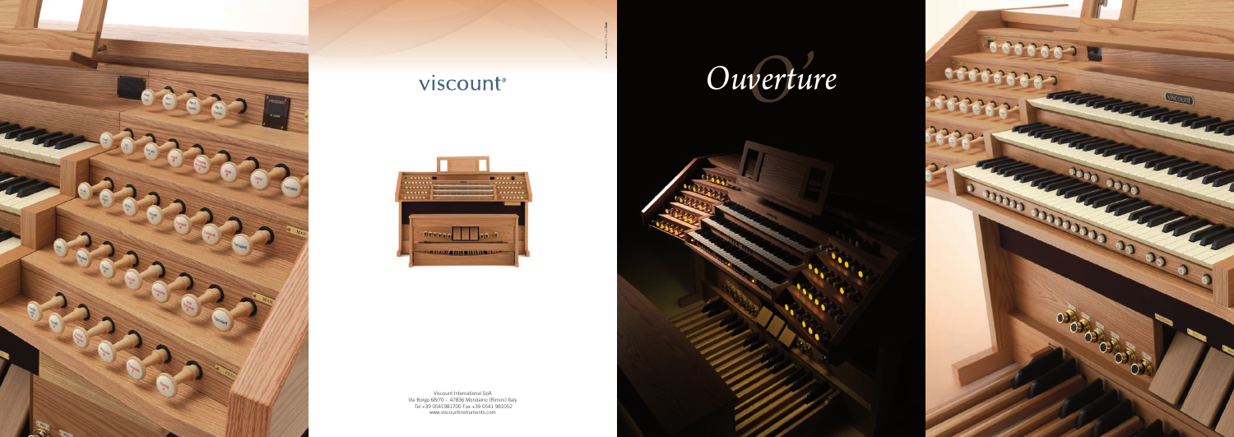

# viscount®



Viscount International SpA Via Borgo 68/70 - 47836 Mondaino (Rimini) Italy Tel +39 0541981700 Fax +39 0541 981052 www.viscountinstruments.com









iabadabadu.it | Plurale**Com**